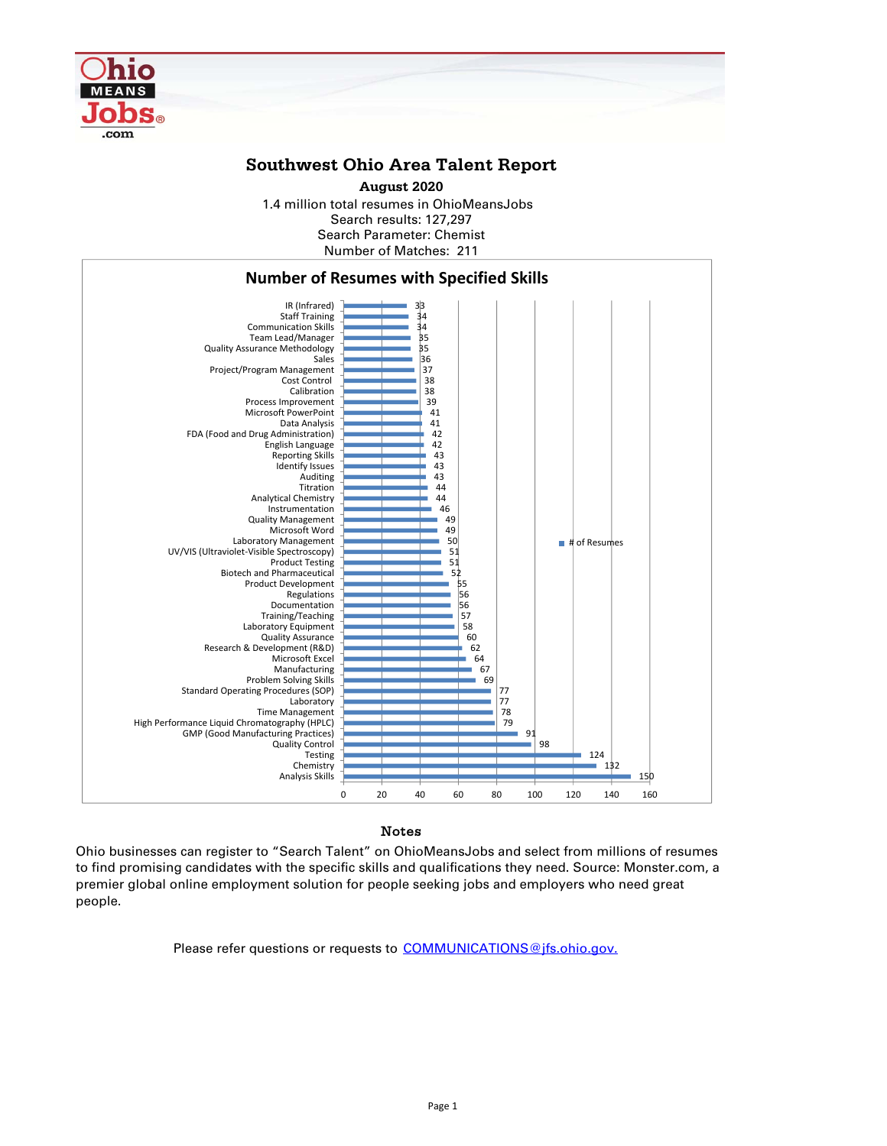

## **Southwest Ohio Area Talent Report**

Search results: 127,297 Number of Matches: 211 Search Parameter: Chemist **August 2020** 1.4 million total resumes in OhioMeansJobs



## Notes

Ohio businesses can register to "Search Talent" on OhioMeansJobs and select from millions of resumes to find promising candidates with the specific skills and qualifications they need. Source: Monster.com, a premier global online employment solution for people seeking jobs and employers who need great people.

Please refer questions or requests to COMMUNICATIONS@jfs.ohio.gov.